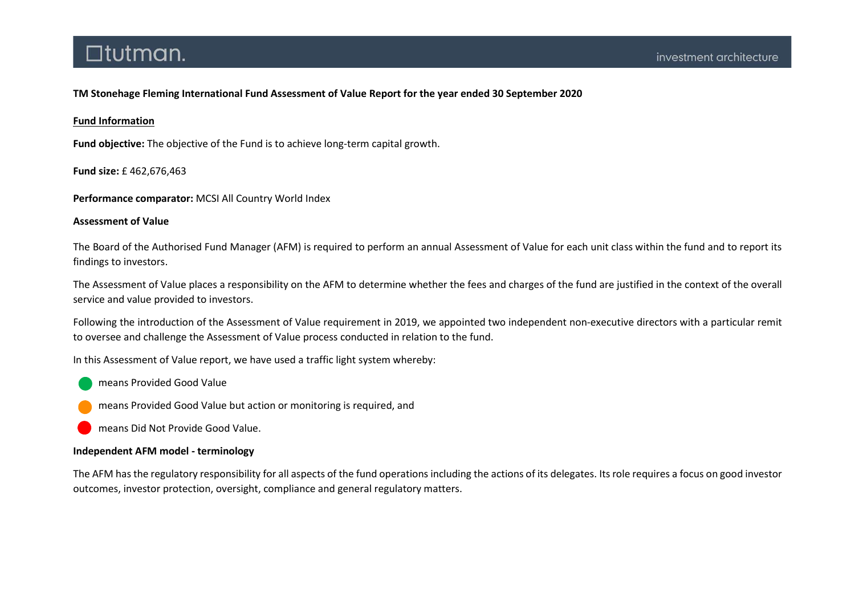TM Stonehage Fleming International Fund Assessment of Value Report for the year ended 30 September 2020

## Fund Information

Fund objective: The objective of the Fund is to achieve long-term capital growth.

Fund size: £ 462,676,463

Performance comparator: MCSI All Country World Index

### Assessment of Value

The Board of the Authorised Fund Manager (AFM) is required to perform an annual Assessment of Value for each unit class within the fund and to report its findings to investors.

The Assessment of Value places a responsibility on the AFM to determine whether the fees and charges of the fund are justified in the context of the overall service and value provided to investors.

Following the introduction of the Assessment of Value requirement in 2019, we appointed two independent non-executive directors with a particular remit to oversee and challenge the Assessment of Value process conducted in relation to the fund.

In this Assessment of Value report, we have used a traffic light system whereby:

means Provided Good Value

means Provided Good Value but action or monitoring is required, and

means Did Not Provide Good Value.

### Independent AFM model - terminology

The AFM has the regulatory responsibility for all aspects of the fund operations including the actions of its delegates. Its role requires a focus on good investor outcomes, investor protection, oversight, compliance and general regulatory matters.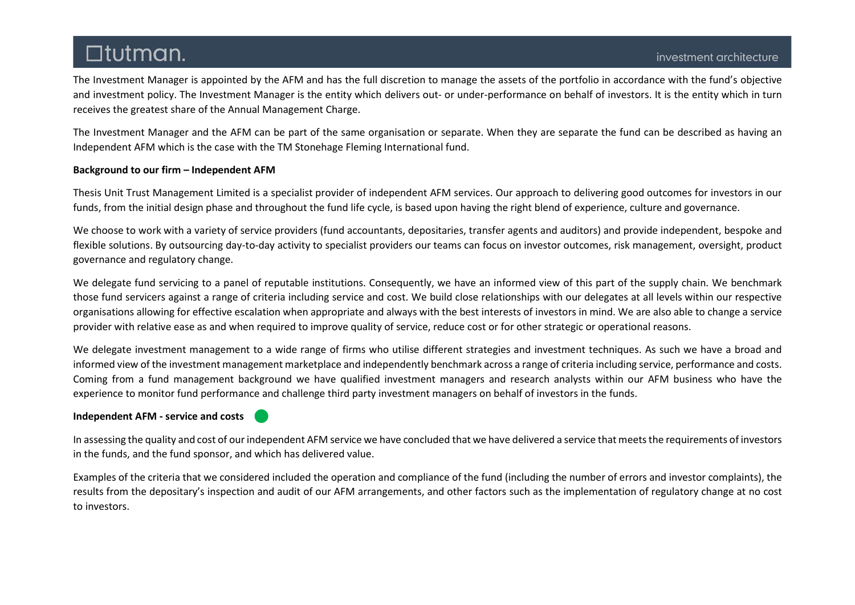The Investment Manager is appointed by the AFM and has the full discretion to manage the assets of the portfolio in accordance with the fund's objective and investment policy. The Investment Manager is the entity which delivers out- or under-performance on behalf of investors. It is the entity which in turn receives the greatest share of the Annual Management Charge.

The Investment Manager and the AFM can be part of the same organisation or separate. When they are separate the fund can be described as having an Independent AFM which is the case with the TM Stonehage Fleming International fund.

## Background to our firm – Independent AFM

Thesis Unit Trust Management Limited is a specialist provider of independent AFM services. Our approach to delivering good outcomes for investors in our funds, from the initial design phase and throughout the fund life cycle, is based upon having the right blend of experience, culture and governance.

We choose to work with a variety of service providers (fund accountants, depositaries, transfer agents and auditors) and provide independent, bespoke and flexible solutions. By outsourcing day-to-day activity to specialist providers our teams can focus on investor outcomes, risk management, oversight, product governance and regulatory change.

We delegate fund servicing to a panel of reputable institutions. Consequently, we have an informed view of this part of the supply chain. We benchmark those fund servicers against a range of criteria including service and cost. We build close relationships with our delegates at all levels within our respective organisations allowing for effective escalation when appropriate and always with the best interests of investors in mind. We are also able to change a service provider with relative ease as and when required to improve quality of service, reduce cost or for other strategic or operational reasons.

We delegate investment management to a wide range of firms who utilise different strategies and investment techniques. As such we have a broad and informed view of the investment management marketplace and independently benchmark across a range of criteria including service, performance and costs. Coming from a fund management background we have qualified investment managers and research analysts within our AFM business who have the experience to monitor fund performance and challenge third party investment managers on behalf of investors in the funds.

## Independent AFM - service and costs



In assessing the quality and cost of our independent AFM service we have concluded that we have delivered a service that meets the requirements of investors in the funds, and the fund sponsor, and which has delivered value.

Examples of the criteria that we considered included the operation and compliance of the fund (including the number of errors and investor complaints), the results from the depositary's inspection and audit of our AFM arrangements, and other factors such as the implementation of regulatory change at no cost to investors.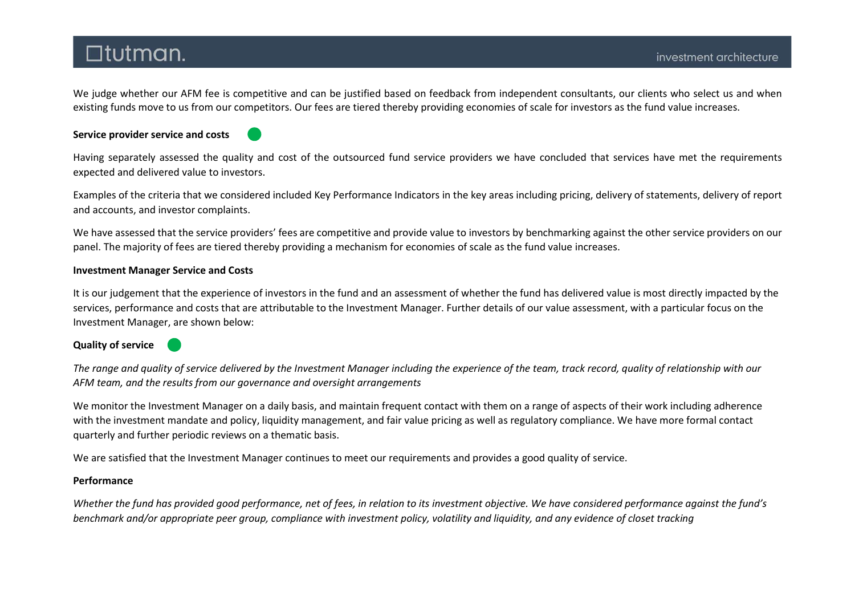We judge whether our AFM fee is competitive and can be justified based on feedback from independent consultants, our clients who select us and when existing funds move to us from our competitors. Our fees are tiered thereby providing economies of scale for investors as the fund value increases.

## Service provider service and costs



Having separately assessed the quality and cost of the outsourced fund service providers we have concluded that services have met the requirements expected and delivered value to investors.

Examples of the criteria that we considered included Key Performance Indicators in the key areas including pricing, delivery of statements, delivery of report and accounts, and investor complaints.

We have assessed that the service providers' fees are competitive and provide value to investors by benchmarking against the other service providers on our panel. The majority of fees are tiered thereby providing a mechanism for economies of scale as the fund value increases.

## Investment Manager Service and Costs

It is our judgement that the experience of investors in the fund and an assessment of whether the fund has delivered value is most directly impacted by the services, performance and costs that are attributable to the Investment Manager. Further details of our value assessment, with a particular focus on the Investment Manager, are shown below:

## Quality of service

The range and quality of service delivered by the Investment Manager including the experience of the team, track record, quality of relationship with our AFM team, and the results from our governance and oversight arrangements

We monitor the Investment Manager on a daily basis, and maintain frequent contact with them on a range of aspects of their work including adherence with the investment mandate and policy, liquidity management, and fair value pricing as well as regulatory compliance. We have more formal contact quarterly and further periodic reviews on a thematic basis.

We are satisfied that the Investment Manager continues to meet our requirements and provides a good quality of service.

### Performance

Whether the fund has provided good performance, net of fees, in relation to its investment objective. We have considered performance against the fund's benchmark and/or appropriate peer group, compliance with investment policy, volatility and liquidity, and any evidence of closet tracking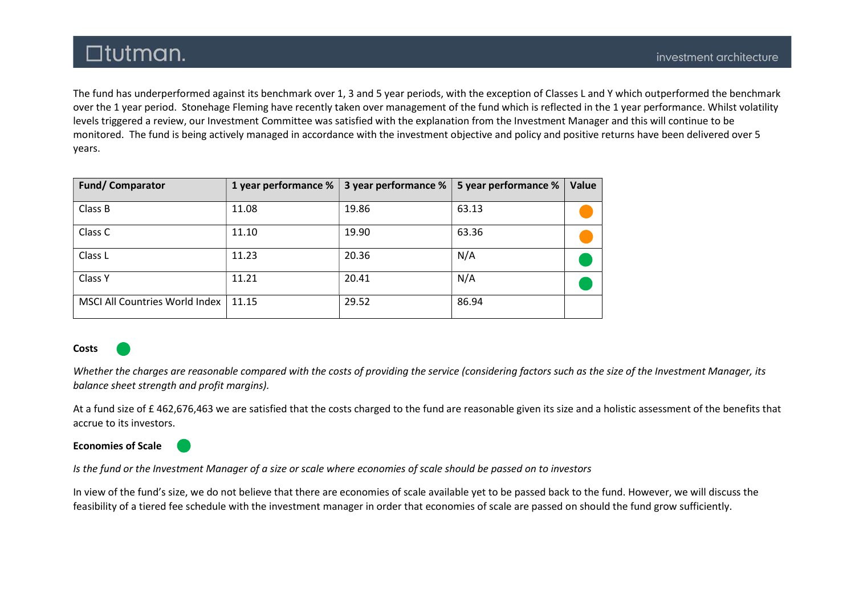The fund has underperformed against its benchmark over 1, 3 and 5 year periods, with the exception of Classes L and Y which outperformed the benchmark over the 1 year period. Stonehage Fleming have recently taken over management of the fund which is reflected in the 1 year performance. Whilst volatility levels triggered a review, our Investment Committee was satisfied with the explanation from the Investment Manager and this will continue to be monitored. The fund is being actively managed in accordance with the investment objective and policy and positive returns have been delivered over 5 years.

| <b>Fund/Comparator</b>                | 1 year performance % | 3 year performance % | 5 year performance % | Value |
|---------------------------------------|----------------------|----------------------|----------------------|-------|
| Class B                               | 11.08                | 19.86                | 63.13                |       |
| Class C                               | 11.10                | 19.90                | 63.36                |       |
| Class L                               | 11.23                | 20.36                | N/A                  |       |
| Class Y                               | 11.21                | 20.41                | N/A                  |       |
| <b>MSCI All Countries World Index</b> | 11.15                | 29.52                | 86.94                |       |

### Costs

Whether the charges are reasonable compared with the costs of providing the service (considering factors such as the size of the Investment Manager, its balance sheet strength and profit margins).

At a fund size of £ 462,676,463 we are satisfied that the costs charged to the fund are reasonable given its size and a holistic assessment of the benefits that accrue to its investors.

## Economies of Scale

Is the fund or the Investment Manager of a size or scale where economies of scale should be passed on to investors

In view of the fund's size, we do not believe that there are economies of scale available yet to be passed back to the fund. However, we will discuss the feasibility of a tiered fee schedule with the investment manager in order that economies of scale are passed on should the fund grow sufficiently.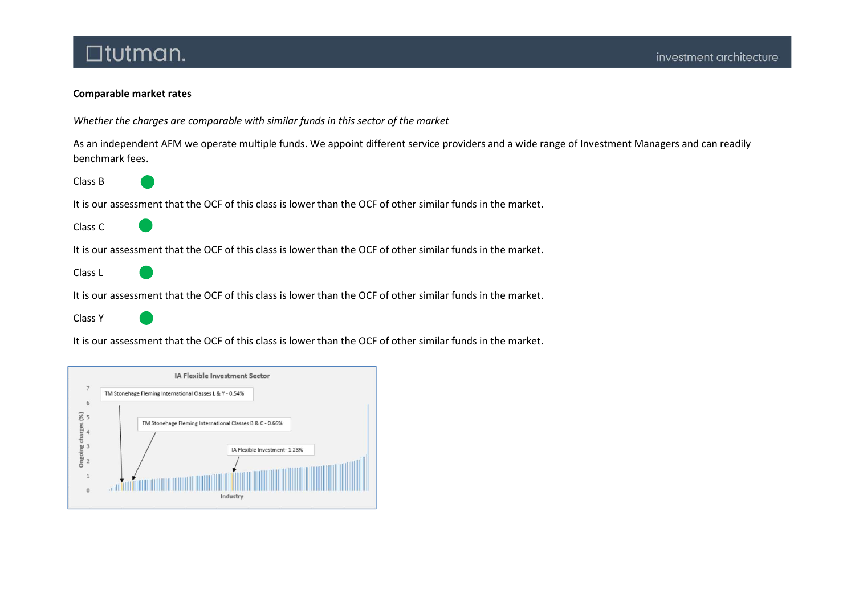## Comparable market rates

Whether the charges are comparable with similar funds in this sector of the market

As an independent AFM we operate multiple funds. We appoint different service providers and a wide range of Investment Managers and can readily benchmark fees.

Class B

It is our assessment that the OCF of this class is lower than the OCF of other similar funds in the market.

Class C

It is our assessment that the OCF of this class is lower than the OCF of other similar funds in the market.

Class L

It is our assessment that the OCF of this class is lower than the OCF of other similar funds in the market.

Class Y

It is our assessment that the OCF of this class is lower than the OCF of other similar funds in the market.

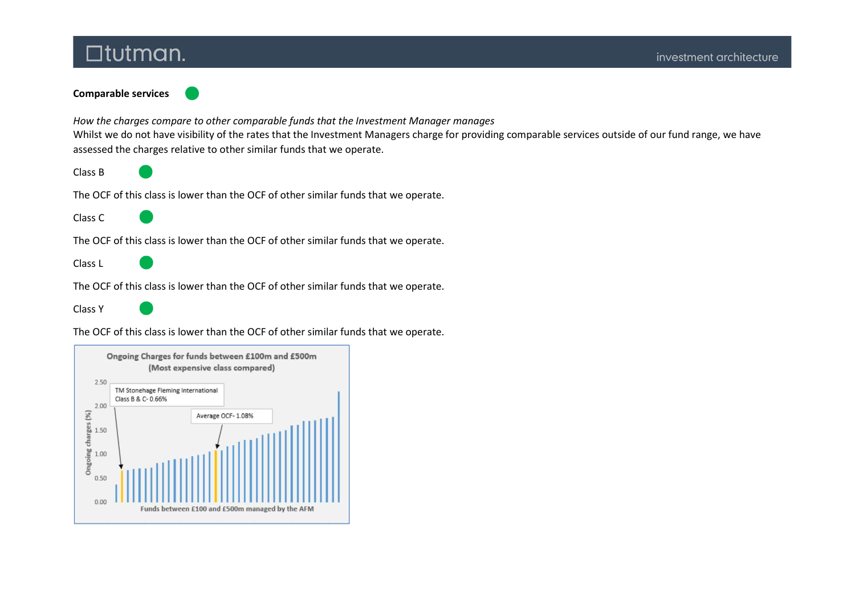Comparable services

How the charges compare to other comparable funds that the Investment Manager manages Whilst we do not have visibility of the rates that the Investment Managers charge for providing comparable services outside of our fund range, we have assessed the charges relative to other similar funds that we operate.

Class B

The OCF of this class is lower than the OCF of other similar funds that we operate.

Class C

The OCF of this class is lower than the OCF of other similar funds that we operate.

Class L

The OCF of this class is lower than the OCF of other similar funds that we operate.

Class Y

The OCF of this class is lower than the OCF of other similar funds that we operate.